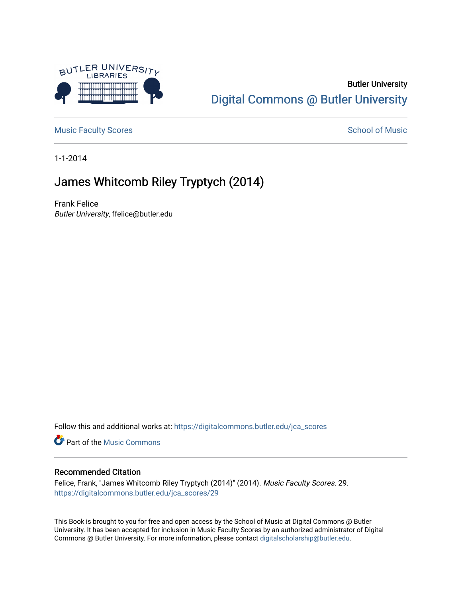

## Butler University [Digital Commons @ Butler University](https://digitalcommons.butler.edu/)

[Music Faculty Scores](https://digitalcommons.butler.edu/jca_scores) and [School of Music](https://digitalcommons.butler.edu/jcamusic) School of Music

1-1-2014

## James Whitcomb Riley Tryptych (2014)

Frank Felice Butler University, ffelice@butler.edu

Follow this and additional works at: [https://digitalcommons.butler.edu/jca\\_scores](https://digitalcommons.butler.edu/jca_scores?utm_source=digitalcommons.butler.edu%2Fjca_scores%2F29&utm_medium=PDF&utm_campaign=PDFCoverPages)

**Part of the Music Commons** 

## Recommended Citation

Felice, Frank, "James Whitcomb Riley Tryptych (2014)" (2014). Music Faculty Scores. 29. [https://digitalcommons.butler.edu/jca\\_scores/29](https://digitalcommons.butler.edu/jca_scores/29?utm_source=digitalcommons.butler.edu%2Fjca_scores%2F29&utm_medium=PDF&utm_campaign=PDFCoverPages) 

This Book is brought to you for free and open access by the School of Music at Digital Commons @ Butler University. It has been accepted for inclusion in Music Faculty Scores by an authorized administrator of Digital Commons @ Butler University. For more information, please contact [digitalscholarship@butler.edu](mailto:digitalscholarship@butler.edu).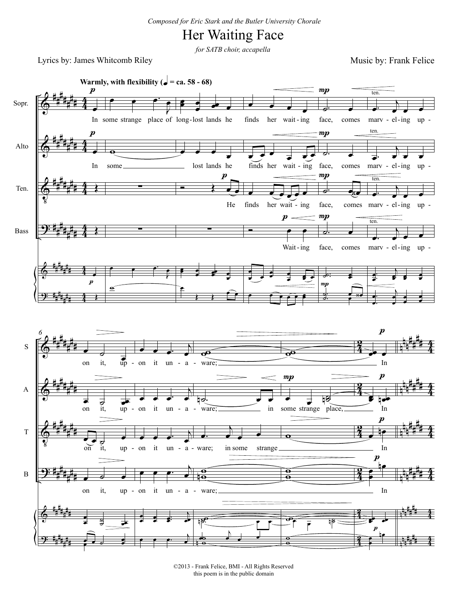## Her Waiting Face

*for SATB choir, accapella*

Lyrics by: James Whitcomb Riley

Music by: Frank Felice



©2013 - Frank Felice, BMI - All Rights Reserved this poem is in the public domain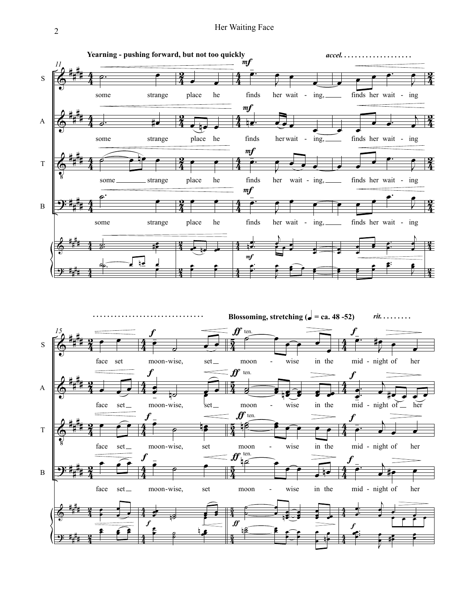